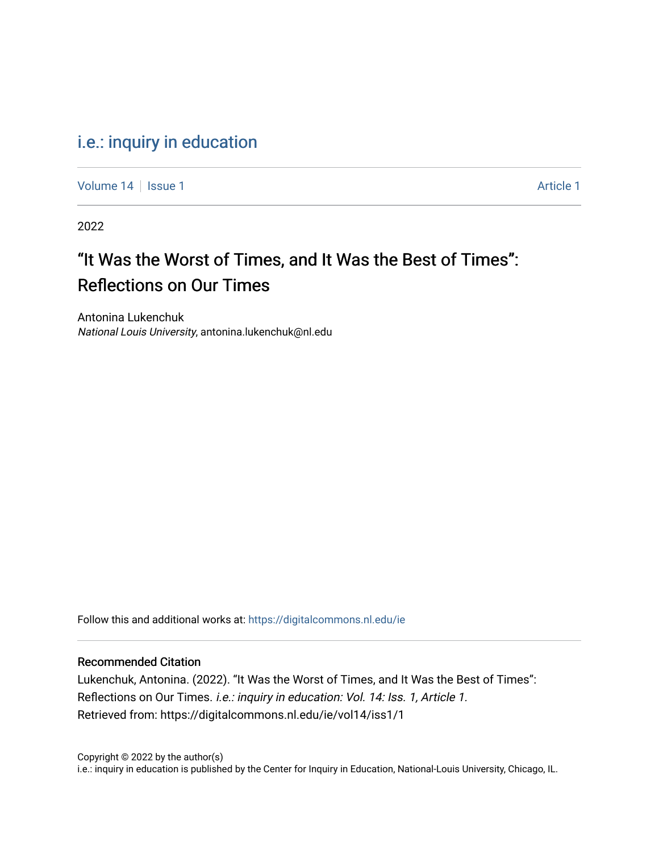# [i.e.: inquiry in education](https://digitalcommons.nl.edu/ie)

[Volume 14](https://digitalcommons.nl.edu/ie/vol14) | [Issue 1](https://digitalcommons.nl.edu/ie/vol14/iss1) Article 1

2022

# "It Was the Worst of Times, and It Was the Best of Times": Reflections on Our Times

Antonina Lukenchuk National Louis University, antonina.lukenchuk@nl.edu

Follow this and additional works at: [https://digitalcommons.nl.edu/ie](https://digitalcommons.nl.edu/ie?utm_source=digitalcommons.nl.edu%2Fie%2Fvol14%2Fiss1%2F1&utm_medium=PDF&utm_campaign=PDFCoverPages) 

#### Recommended Citation

Lukenchuk, Antonina. (2022). "It Was the Worst of Times, and It Was the Best of Times": Reflections on Our Times. i.e.: inquiry in education: Vol. 14: Iss. 1, Article 1. Retrieved from: https://digitalcommons.nl.edu/ie/vol14/iss1/1

Copyright © 2022 by the author(s) i.e.: inquiry in education is published by the Center for Inquiry in Education, National-Louis University, Chicago, IL.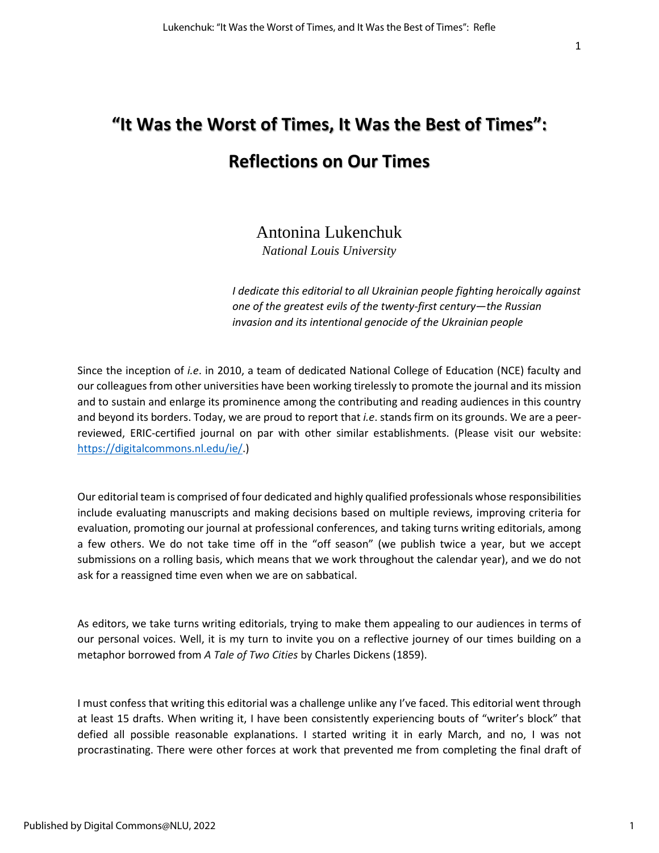# **"It Was the Worst of Times, It Was the Best of Times": Reflections on Our Times**

Antonina Lukenchuk

*National Louis University*

*I dedicate this editorial to all Ukrainian people fighting heroically against one of the greatest evils of the twenty-first century*—*the Russian invasion and its intentional genocide of the Ukrainian people* 

Since the inception of *i.e*. in 2010, a team of dedicated National College of Education (NCE) faculty and our colleagues from other universities have been working tirelessly to promote the journal and its mission and to sustain and enlarge its prominence among the contributing and reading audiences in this country and beyond its borders. Today, we are proud to report that *i.e*. stands firm on its grounds. We are a peerreviewed, ERIC-certified journal on par with other similar establishments. (Please visit our website: [https://digitalcommons.nl.edu/ie/.](https://digitalcommons.nl.edu/ie/))

Our editorial team is comprised of four dedicated and highly qualified professionals whose responsibilities include evaluating manuscripts and making decisions based on multiple reviews, improving criteria for evaluation, promoting our journal at professional conferences, and taking turns writing editorials, among a few others. We do not take time off in the "off season" (we publish twice a year, but we accept submissions on a rolling basis, which means that we work throughout the calendar year), and we do not ask for a reassigned time even when we are on sabbatical.

As editors, we take turns writing editorials, trying to make them appealing to our audiences in terms of our personal voices. Well, it is my turn to invite you on a reflective journey of our times building on a metaphor borrowed from *A Tale of Two Cities* by Charles Dickens (1859).

I must confess that writing this editorial was a challenge unlike any I've faced. This editorial went through at least 15 drafts. When writing it, I have been consistently experiencing bouts of "writer's block" that defied all possible reasonable explanations. I started writing it in early March, and no, I was not procrastinating. There were other forces at work that prevented me from completing the final draft of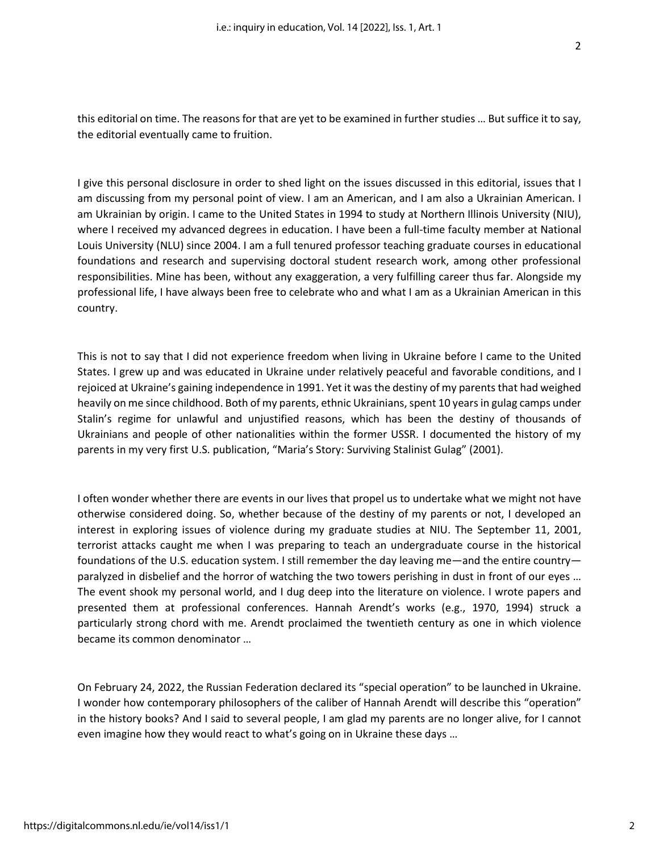this editorial on time. The reasons for that are yet to be examined in further studies … But suffice it to say, the editorial eventually came to fruition.

I give this personal disclosure in order to shed light on the issues discussed in this editorial, issues that I am discussing from my personal point of view. I am an American, and I am also a Ukrainian American. I am Ukrainian by origin. I came to the United States in 1994 to study at Northern Illinois University (NIU), where I received my advanced degrees in education. I have been a full-time faculty member at National Louis University (NLU) since 2004. I am a full tenured professor teaching graduate courses in educational foundations and research and supervising doctoral student research work, among other professional responsibilities. Mine has been, without any exaggeration, a very fulfilling career thus far. Alongside my professional life, I have always been free to celebrate who and what I am as a Ukrainian American in this country.

This is not to say that I did not experience freedom when living in Ukraine before I came to the United States. I grew up and was educated in Ukraine under relatively peaceful and favorable conditions, and I rejoiced at Ukraine's gaining independence in 1991. Yet it was the destiny of my parents that had weighed heavily on me since childhood. Both of my parents, ethnic Ukrainians, spent 10 years in gulag camps under Stalin's regime for unlawful and unjustified reasons, which has been the destiny of thousands of Ukrainians and people of other nationalities within the former USSR. I documented the history of my parents in my very first U.S. publication, "Maria's Story: Surviving Stalinist Gulag" (2001).

I often wonder whether there are events in our lives that propel us to undertake what we might not have otherwise considered doing. So, whether because of the destiny of my parents or not, I developed an interest in exploring issues of violence during my graduate studies at NIU. The September 11, 2001, terrorist attacks caught me when I was preparing to teach an undergraduate course in the historical foundations of the U.S. education system. I still remember the day leaving me—and the entire country paralyzed in disbelief and the horror of watching the two towers perishing in dust in front of our eyes … The event shook my personal world, and I dug deep into the literature on violence. I wrote papers and presented them at professional conferences. Hannah Arendt's works (e.g., 1970, 1994) struck a particularly strong chord with me. Arendt proclaimed the twentieth century as one in which violence became its common denominator …

On February 24, 2022, the Russian Federation declared its "special operation" to be launched in Ukraine. I wonder how contemporary philosophers of the caliber of Hannah Arendt will describe this "operation" in the history books? And I said to several people, I am glad my parents are no longer alive, for I cannot even imagine how they would react to what's going on in Ukraine these days …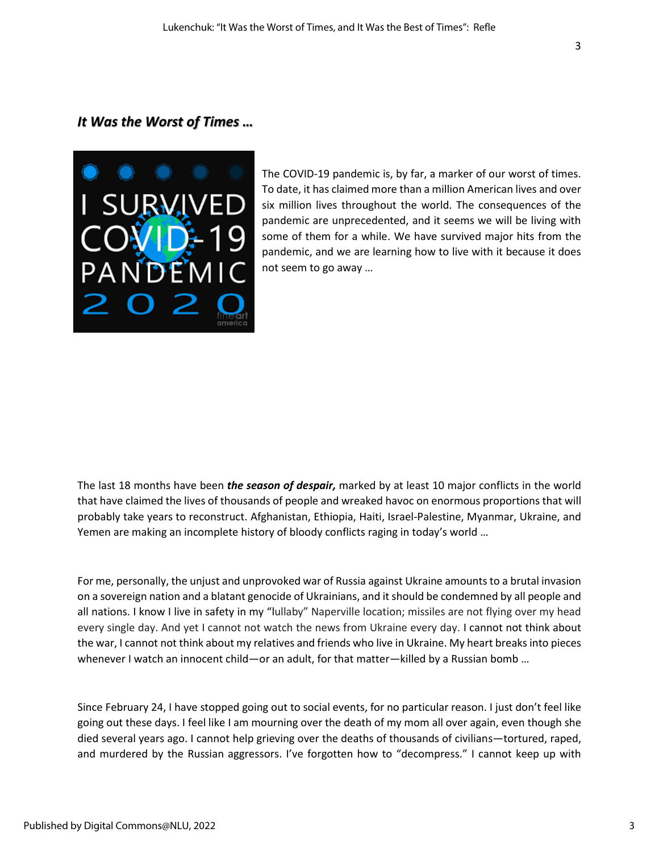#### *It Was the Worst of Times …*



The COVID-19 pandemic is, by far, a marker of our worst of times. To date, it has claimed more than a million American lives and over six million lives throughout the world. The consequences of the pandemic are unprecedented, and it seems we will be living with some of them for a while. We have survived major hits from the pandemic, and we are learning how to live with it because it does not seem to go away …

The last 18 months have been *the season of despair,* marked by at least 10 major conflicts in the world that have claimed the lives of thousands of people and wreaked havoc on enormous proportions that will probably take years to reconstruct. Afghanistan, Ethiopia, Haiti, Israel-Palestine, Myanmar, Ukraine, and Yemen are making an incomplete history of bloody conflicts raging in today's world …

For me, personally, the unjust and unprovoked war of Russia against Ukraine amounts to a brutal invasion on a sovereign nation and a blatant genocide of Ukrainians, and it should be condemned by all people and all nations. I know I live in safety in my "lullaby" Naperville location; missiles are not flying over my head every single day. And yet I cannot not watch the news from Ukraine every day. I cannot not think about the war, I cannot not think about my relatives and friends who live in Ukraine. My heart breaks into pieces whenever I watch an innocent child—or an adult, for that matter—killed by a Russian bomb …

Since February 24, I have stopped going out to social events, for no particular reason. I just don't feel like going out these days. I feel like I am mourning over the death of my mom all over again, even though she died several years ago. I cannot help grieving over the deaths of thousands of civilians—tortured, raped, and murdered by the Russian aggressors. I've forgotten how to "decompress." I cannot keep up with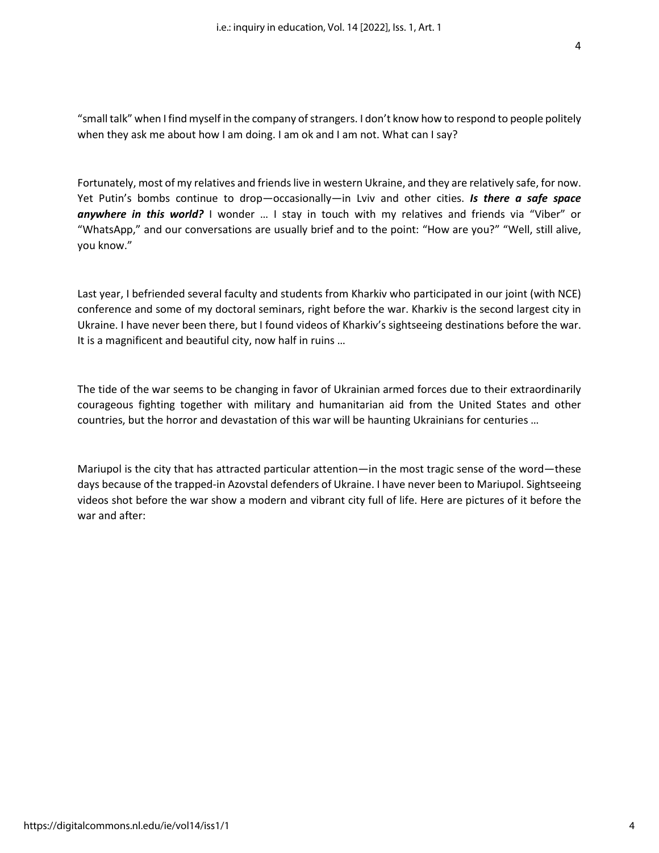"small talk" when I find myself in the company of strangers. I don't know how to respond to people politely when they ask me about how I am doing. I am ok and I am not. What can I say?

Fortunately, most of my relatives and friends live in western Ukraine, and they are relatively safe, for now. Yet Putin's bombs continue to drop—occasionally—in Lviv and other cities. *Is there a safe space anywhere in this world?* I wonder … I stay in touch with my relatives and friends via "Viber" or "WhatsApp," and our conversations are usually brief and to the point: "How are you?" "Well, still alive, you know."

Last year, I befriended several faculty and students from Kharkiv who participated in our joint (with NCE) conference and some of my doctoral seminars, right before the war. Kharkiv is the second largest city in Ukraine. I have never been there, but I found videos of Kharkiv's sightseeing destinations before the war. It is a magnificent and beautiful city, now half in ruins …

The tide of the war seems to be changing in favor of Ukrainian armed forces due to their extraordinarily courageous fighting together with military and humanitarian aid from the United States and other countries, but the horror and devastation of this war will be haunting Ukrainians for centuries …

Mariupol is the city that has attracted particular attention—in the most tragic sense of the word—these days because of the trapped-in Azovstal defenders of Ukraine. I have never been to Mariupol. Sightseeing videos shot before the war show a modern and vibrant city full of life. Here are pictures of it before the war and after: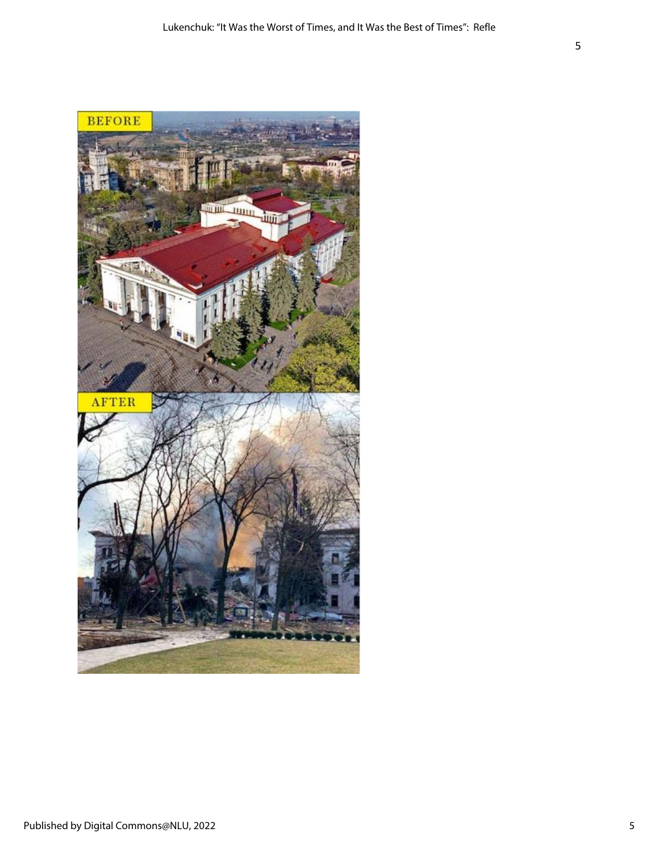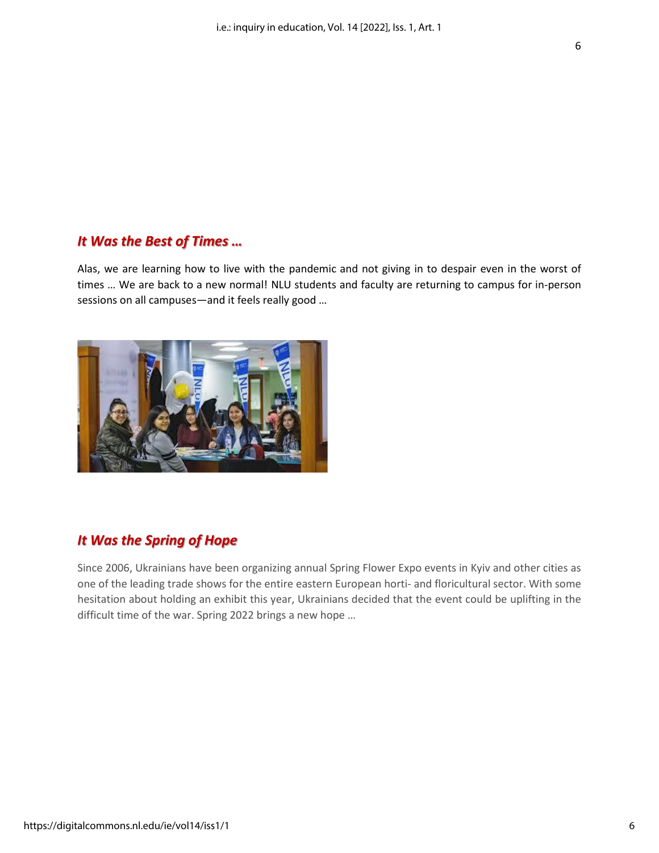## *It Was the Best of Times …*

Alas, we are learning how to live with the pandemic and not giving in to despair even in the worst of times … We are back to a new normal! NLU students and faculty are returning to campus for in-person sessions on all campuses—and it feels really good …



# *It Was the Spring of Hope*

Since 2006, Ukrainians have been organizing annual Spring Flower Expo events in Kyiv and other cities as one of the leading trade shows for the entire eastern European horti- and floricultural sector. With some hesitation about holding an exhibit this year, Ukrainians decided that the event could be uplifting in the difficult time of the war. Spring 2022 brings a new hope …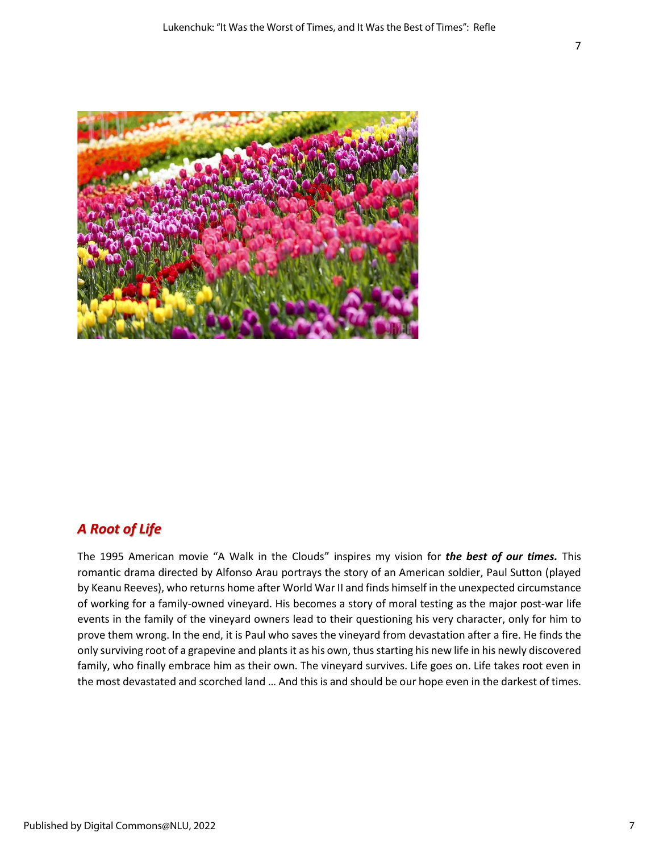

## *A Root of Life*

The 1995 American movie "A Walk in the Clouds" inspires my vision for *the best of our times.* This romantic drama directed by [Alfonso Arau](https://en.wikipedia.org/wiki/Alfonso_Arau) portrays the story of an American soldier, Paul Sutton (played by [Keanu Reeves\)](https://en.wikipedia.org/wiki/Keanu_Reeves), who returns home after World War II and finds himself in the unexpected circumstance of working for a family-owned vineyard. His becomes a story of moral testing as the major post-war life events in the family of the vineyard owners lead to their questioning his very character, only for him to prove them wrong. In the end, it is Paul who saves the vineyard from devastation after a fire. He finds the only surviving root of a grapevine and plants it as his own, thus starting his new life in his newly discovered family, who finally embrace him as their own. The vineyard survives. Life goes on. Life takes root even in the most devastated and scorched land … And this is and should be our hope even in the darkest of times.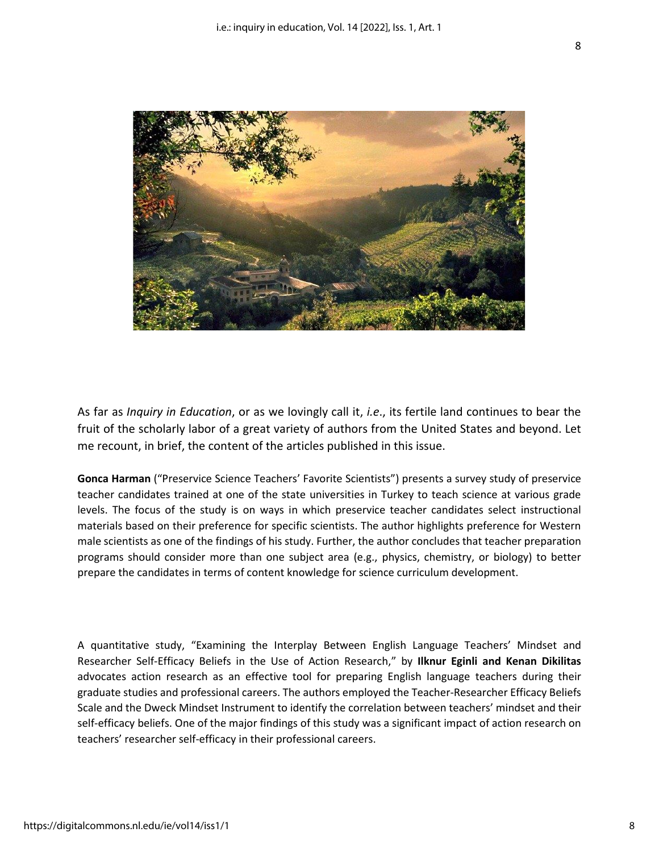

As far as *Inquiry in Education*, or as we lovingly call it, *i.e*., its fertile land continues to bear the fruit of the scholarly labor of a great variety of authors from the United States and beyond. Let me recount, in brief, the content of the articles published in this issue.

**Gonca Harman** ("Preservice Science Teachers' Favorite Scientists") presents a survey study of preservice teacher candidates trained at one of the state universities in Turkey to teach science at various grade levels. The focus of the study is on ways in which preservice teacher candidates select instructional materials based on their preference for specific scientists. The author highlights preference for Western male scientists as one of the findings of his study. Further, the author concludes that teacher preparation programs should consider more than one subject area (e.g., physics, chemistry, or biology) to better prepare the candidates in terms of content knowledge for science curriculum development.

A quantitative study, "Examining the Interplay Between English Language Teachers' Mindset and Researcher Self-Efficacy Beliefs in the Use of Action Research," by **Ilknur Eginli and Kenan Dikilitas**  advocates action research as an effective tool for preparing English language teachers during their graduate studies and professional careers. The authors employed the Teacher-Researcher Efficacy Beliefs Scale and the Dweck Mindset Instrument to identify the correlation between teachers' mindset and their self-efficacy beliefs. One of the major findings of this study was a significant impact of action research on teachers' researcher self-efficacy in their professional careers.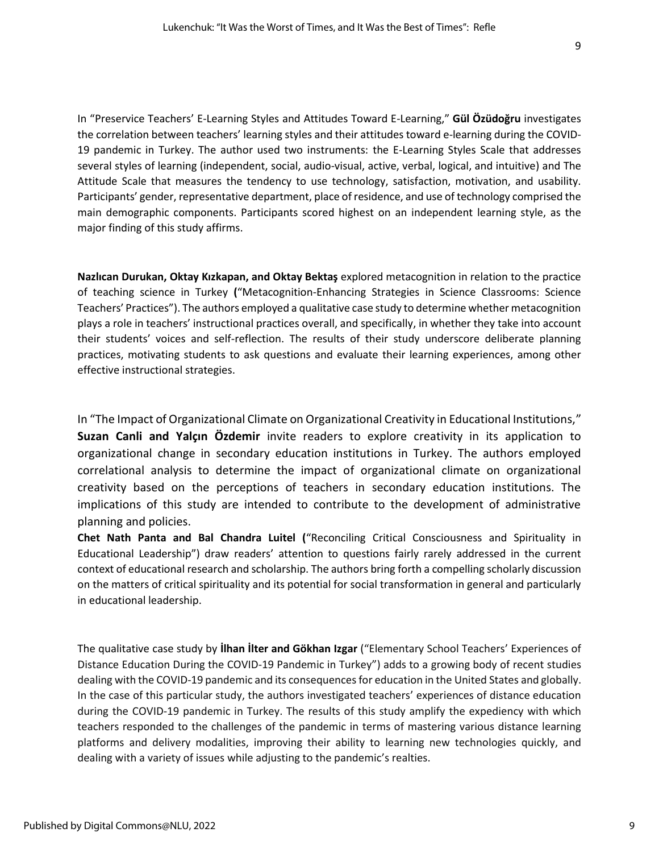In "Preservice Teachers' E-Learning Styles and Attitudes Toward E-Learning," **Gül Özüdoğru** investigates the correlation between teachers' learning styles and their attitudes toward e-learning during the COVID-19 pandemic in Turkey. The author used two instruments: the E-Learning Styles Scale that addresses several styles of learning (independent, social, audio-visual, active, verbal, logical, and intuitive) and The Attitude Scale that measures the tendency to use technology, satisfaction, motivation, and usability. Participants' gender, representative department, place of residence, and use of technology comprised the main demographic components. Participants scored highest on an independent learning style, as the major finding of this study affirms.

**Nazlıcan Durukan, Oktay Kızkapan, and Oktay Bektaş** explored metacognition in relation to the practice of teaching science in Turkey **(**"Metacognition-Enhancing Strategies in Science Classrooms: Science Teachers' Practices"). The authors employed a qualitative case study to determine whether metacognition plays a role in teachers' instructional practices overall, and specifically, in whether they take into account their students' voices and self-reflection. The results of their study underscore deliberate planning practices, motivating students to ask questions and evaluate their learning experiences, among other effective instructional strategies.

In "The Impact of Organizational Climate on Organizational Creativity in Educational Institutions," **Suzan Canli and Yalçın Özdemir** invite readers to explore creativity in its application to organizational change in secondary education institutions in Turkey. The authors employed correlational analysis to determine the impact of organizational climate on organizational creativity based on the perceptions of teachers in secondary education institutions. The implications of this study are intended to contribute to the development of administrative planning and policies.

**Chet Nath Panta and Bal Chandra Luitel (**"Reconciling Critical Consciousness and Spirituality in Educational Leadership") draw readers' attention to questions fairly rarely addressed in the current context of educational research and scholarship. The authors bring forth a compelling scholarly discussion on the matters of critical spirituality and its potential for social transformation in general and particularly in educational leadership.

The qualitative case study by **İlhan İlter and Gökhan Izgar** ("Elementary School Teachers' Experiences of Distance Education During the COVID-19 Pandemic in Turkey") adds to a growing body of recent studies dealing with the COVID-19 pandemic and its consequences for education in the United States and globally. In the case of this particular study, the authors investigated teachers' experiences of distance education during the COVID-19 pandemic in Turkey. The results of this study amplify the expediency with which teachers responded to the challenges of the pandemic in terms of mastering various distance learning platforms and delivery modalities, improving their ability to learning new technologies quickly, and dealing with a variety of issues while adjusting to the pandemic's realties.